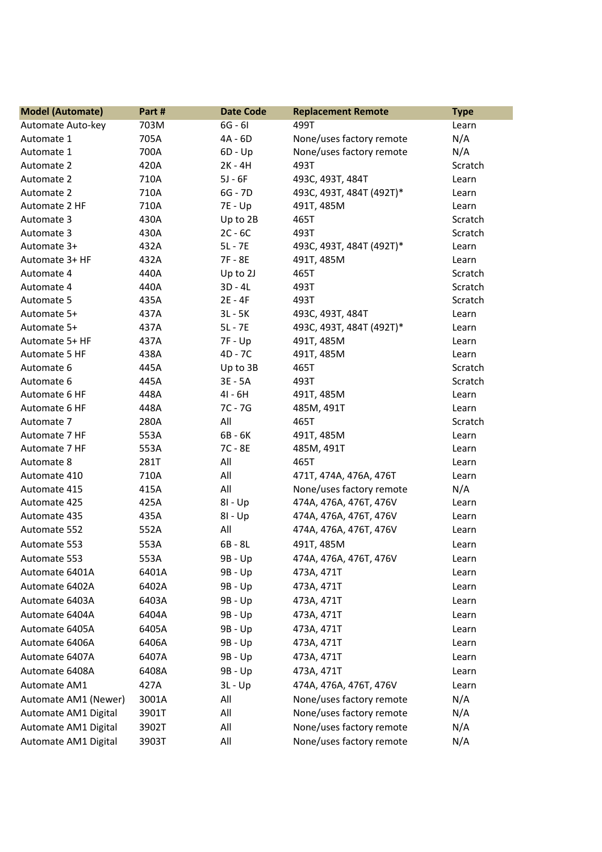| <b>Model (Automate)</b> | Part# | <b>Date Code</b> | <b>Replacement Remote</b> | <b>Type</b> |
|-------------------------|-------|------------------|---------------------------|-------------|
| Automate Auto-key       | 703M  | $6G - 6I$        | 499T                      | Learn       |
| Automate 1              | 705A  | 4A - 6D          | None/uses factory remote  | N/A         |
| Automate 1              | 700A  | $6D - Up$        | None/uses factory remote  | N/A         |
| Automate 2              | 420A  | 2K - 4H          | 493T                      | Scratch     |
| Automate 2              | 710A  | $5J - 6F$        | 493C, 493T, 484T          | Learn       |
| Automate 2              | 710A  | 6G - 7D          | 493C, 493T, 484T (492T)*  | Learn       |
| Automate 2 HF           | 710A  | 7E - Up          | 491T, 485M                | Learn       |
| Automate 3              | 430A  | Up to 2B         | 465T                      | Scratch     |
| Automate 3              | 430A  | $2C - 6C$        | 493T                      | Scratch     |
| Automate 3+             | 432A  | $5L - 7E$        | 493C, 493T, 484T (492T)*  | Learn       |
| Automate 3+ HF          | 432A  | 7F - 8E          | 491T, 485M                | Learn       |
| Automate 4              | 440A  | Up to 2J         | 465T                      | Scratch     |
| Automate 4              | 440A  | $3D - 4L$        | 493T                      | Scratch     |
| Automate 5              | 435A  | 2E - 4F          | 493T                      | Scratch     |
| Automate 5+             | 437A  | $3L - 5K$        | 493C, 493T, 484T          | Learn       |
| Automate 5+             | 437A  | $5L - 7E$        | 493C, 493T, 484T (492T)*  | Learn       |
| Automate 5+ HF          | 437A  | 7F - Up          | 491T, 485M                | Learn       |
| Automate 5 HF           | 438A  | 4D - 7C          | 491T, 485M                | Learn       |
| Automate 6              | 445A  | Up to 3B         | 465T                      | Scratch     |
| Automate 6              | 445A  | 3E - 5A          | 493T                      | Scratch     |
| Automate 6 HF           | 448A  | 41 - 6H          | 491T, 485M                | Learn       |
| Automate 6 HF           | 448A  | 7C - 7G          | 485M, 491T                | Learn       |
| Automate 7              | 280A  | All              | 465T                      | Scratch     |
| Automate 7 HF           | 553A  | 6B - 6K          | 491T, 485M                | Learn       |
| Automate 7 HF           | 553A  | 7C - 8E          | 485M, 491T                | Learn       |
| Automate 8              | 281T  | All              | 465T                      | Learn       |
| Automate 410            | 710A  | All              | 471T, 474A, 476A, 476T    | Learn       |
| Automate 415            | 415A  | All              | None/uses factory remote  | N/A         |
| Automate 425            | 425A  | $8I - Up$        | 474A, 476A, 476T, 476V    | Learn       |
| Automate 435            | 435A  | $8I - Up$        | 474A, 476A, 476T, 476V    | Learn       |
| Automate 552            | 552A  | All              | 474A, 476A, 476T, 476V    | Learn       |
| Automate 553            | 553A  | $6B - 8L$        | 491T, 485M                | Learn       |
| Automate 553            | 553A  | 9B - Up          | 474A, 476A, 476T, 476V    | Learn       |
| Automate 6401A          | 6401A | $9B - Up$        | 473A, 471T                | Learn       |
| Automate 6402A          | 6402A | 9B - Up          | 473A, 471T                | Learn       |
| Automate 6403A          | 6403A | $9B - Up$        | 473A, 471T                | Learn       |
| Automate 6404A          | 6404A | 9B - Up          | 473A, 471T                | Learn       |
| Automate 6405A          | 6405A | 9B - Up          | 473A, 471T                | Learn       |
| Automate 6406A          | 6406A | 9B - Up          | 473A, 471T                | Learn       |
| Automate 6407A          | 6407A | 9B - Up          | 473A, 471T                | Learn       |
| Automate 6408A          | 6408A | 9B - Up          | 473A, 471T                | Learn       |
| Automate AM1            | 427A  | $3L - Up$        | 474A, 476A, 476T, 476V    | Learn       |
| Automate AM1 (Newer)    | 3001A | All              | None/uses factory remote  | N/A         |
| Automate AM1 Digital    | 3901T | All              | None/uses factory remote  | N/A         |
| Automate AM1 Digital    | 3902T | All              | None/uses factory remote  | N/A         |
| Automate AM1 Digital    | 3903T | All              | None/uses factory remote  | N/A         |
|                         |       |                  |                           |             |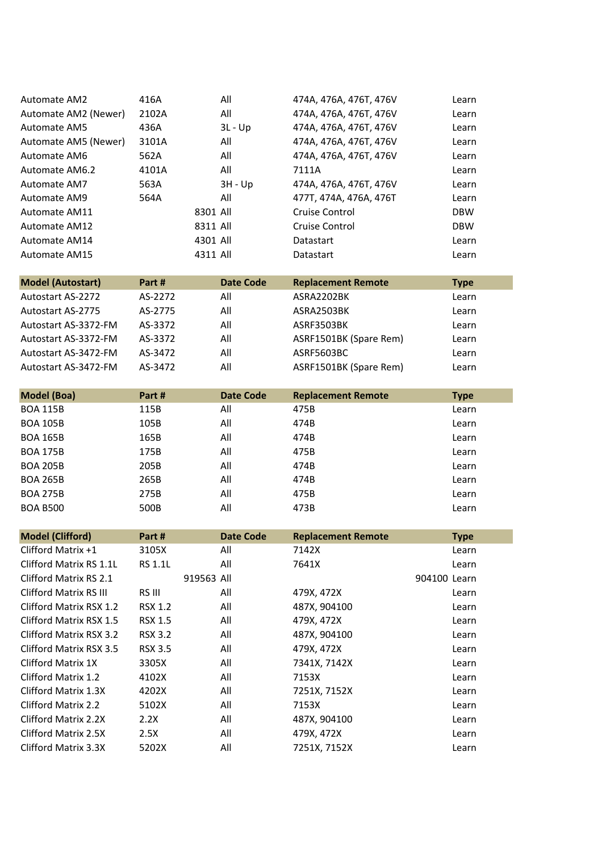| <b>Automate AM2</b>  | 416A  | All       | 474A, 476A, 476T, 476V | Learn      |
|----------------------|-------|-----------|------------------------|------------|
| Automate AM2 (Newer) | 2102A | All       | 474A, 476A, 476T, 476V | Learn      |
| Automate AM5         | 436A  | $3L - Up$ | 474A, 476A, 476T, 476V | Learn      |
| Automate AM5 (Newer) | 3101A | All       | 474A, 476A, 476T, 476V | Learn      |
| Automate AM6         | 562A  | All       | 474A, 476A, 476T, 476V | Learn      |
| Automate AM6.2       | 4101A | All       | 7111A                  | Learn      |
| Automate AM7         | 563A  | $3H - Up$ | 474A, 476A, 476T, 476V | Learn      |
| Automate AM9         | 564A  | All       | 477T, 474A, 476A, 476T | Learn      |
| Automate AM11        |       | 8301 All  | Cruise Control         | <b>DBW</b> |
| Automate AM12        |       | 8311 All  | Cruise Control         | <b>DBW</b> |
| Automate AM14        |       | 4301 All  | Datastart              | Learn      |
| Automate AM15        |       | 4311 All  | Datastart              | Learn      |

| <b>Model (Autostart)</b> | Part #  | <b>Date Code</b> | <b>Replacement Remote</b> | <b>Type</b> |
|--------------------------|---------|------------------|---------------------------|-------------|
| Autostart AS-2272        | AS-2272 | All              | ASRA2202BK                | Learn       |
| Autostart AS-2775        | AS-2775 | All              | ASRA2503BK                | Learn       |
| Autostart AS-3372-FM     | AS-3372 | All              | ASRF3503BK                | Learn       |
| Autostart AS-3372-FM     | AS-3372 | All              | ASRF1501BK (Spare Rem)    | Learn       |
| Autostart AS-3472-FM     | AS-3472 | All              | ASRF5603BC                | Learn       |
| Autostart AS-3472-FM     | AS-3472 | All              | ASRF1501BK (Spare Rem)    | Learn       |

| <b>Model (Boa)</b> | Part # | Date Code | <b>Replacement Remote</b> | <b>Type</b> |
|--------------------|--------|-----------|---------------------------|-------------|
| <b>BOA 115B</b>    | 115B   | All       | 475B                      | Learn       |
| <b>BOA 105B</b>    | 105B   | All       | 474B                      | Learn       |
| <b>BOA 165B</b>    | 165B   | All       | 474B                      | Learn       |
| <b>BOA 175B</b>    | 175B   | All       | 475B                      | Learn       |
| <b>BOA 205B</b>    | 205B   | All       | 474B                      | Learn       |
| <b>BOA 265B</b>    | 265B   | All       | 474B                      | Learn       |
| <b>BOA 275B</b>    | 275B   | All       | 475B                      | Learn       |
| <b>BOA B500</b>    | 500B   | All       | 473B                      | Learn       |

| <b>Model (Clifford)</b> | Part #         | <b>Date Code</b> | <b>Replacement Remote</b> | <b>Type</b>  |
|-------------------------|----------------|------------------|---------------------------|--------------|
| Clifford Matrix $+1$    | 3105X          | All              | 7142X                     | Learn        |
| Clifford Matrix RS 1.1L | <b>RS 1.1L</b> | All              | 7641X                     | Learn        |
| Clifford Matrix RS 2.1  | 919563 All     |                  |                           | 904100 Learn |
| Clifford Matrix RS III  | RS III         | All              | 479X, 472X                | Learn        |
| Clifford Matrix RSX 1.2 | RSX 1.2        | All              | 487X, 904100              | Learn        |
| Clifford Matrix RSX 1.5 | <b>RSX 1.5</b> | All              | 479X, 472X                | Learn        |
| Clifford Matrix RSX 3.2 | <b>RSX 3.2</b> | All              | 487X, 904100              | Learn        |
| Clifford Matrix RSX 3.5 | <b>RSX 3.5</b> | All              | 479X, 472X                | Learn        |
| Clifford Matrix 1X      | 3305X          | All              | 7341X, 7142X              | Learn        |
| Clifford Matrix 1.2     | 4102X          | All              | 7153X                     | Learn        |
| Clifford Matrix 1.3X    | 4202X          | All              | 7251X, 7152X              | Learn        |
| Clifford Matrix 2.2     | 5102X          | All              | 7153X                     | Learn        |
| Clifford Matrix 2.2X    | 2.2X           | All              | 487X, 904100              | Learn        |
| Clifford Matrix 2.5X    | 2.5X           | All              | 479X, 472X                | Learn        |
| Clifford Matrix 3.3X    | 5202X          | All              | 7251X, 7152X              | Learn        |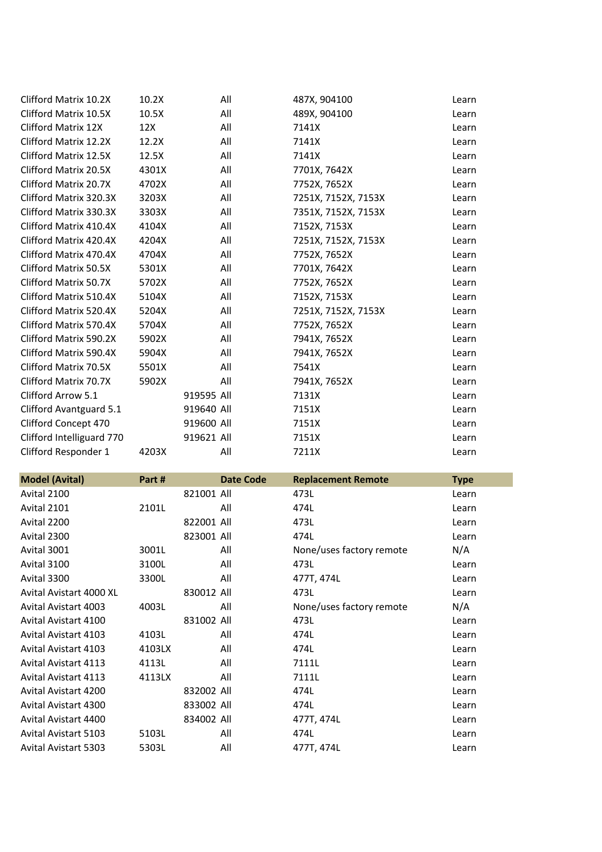| Clifford Matrix 10.2X     | 10.2X |            | All | 487X, 904100        | Learn |
|---------------------------|-------|------------|-----|---------------------|-------|
| Clifford Matrix 10.5X     | 10.5X |            | All | 489X, 904100        | Learn |
| Clifford Matrix 12X       | 12X   |            | All | 7141X               | Learn |
| Clifford Matrix 12.2X     | 12.2X |            | All | 7141X               | Learn |
| Clifford Matrix 12.5X     | 12.5X |            | All | 7141X               | Learn |
| Clifford Matrix 20.5X     | 4301X |            | All | 7701X, 7642X        | Learn |
| Clifford Matrix 20.7X     | 4702X |            | All | 7752X, 7652X        | Learn |
| Clifford Matrix 320.3X    | 3203X |            | All | 7251X, 7152X, 7153X | Learn |
| Clifford Matrix 330.3X    | 3303X |            | All | 7351X, 7152X, 7153X | Learn |
| Clifford Matrix 410.4X    | 4104X |            | All | 7152X, 7153X        | Learn |
| Clifford Matrix 420.4X    | 4204X |            | All | 7251X, 7152X, 7153X | Learn |
| Clifford Matrix 470.4X    | 4704X |            | All | 7752X, 7652X        | Learn |
| Clifford Matrix 50.5X     | 5301X |            | All | 7701X, 7642X        | Learn |
| Clifford Matrix 50.7X     | 5702X |            | All | 7752X, 7652X        | Learn |
| Clifford Matrix 510.4X    | 5104X |            | All | 7152X, 7153X        | Learn |
| Clifford Matrix 520.4X    | 5204X |            | All | 7251X, 7152X, 7153X | Learn |
| Clifford Matrix 570.4X    | 5704X |            | All | 7752X, 7652X        | Learn |
| Clifford Matrix 590.2X    | 5902X |            | All | 7941X, 7652X        | Learn |
| Clifford Matrix 590.4X    | 5904X |            | All | 7941X, 7652X        | Learn |
| Clifford Matrix 70.5X     | 5501X |            | All | 7541X               | Learn |
| Clifford Matrix 70.7X     | 5902X |            | All | 7941X, 7652X        | Learn |
| Clifford Arrow 5.1        |       | 919595 All |     | 7131X               | Learn |
| Clifford Avantguard 5.1   |       | 919640 All |     | 7151X               | Learn |
| Clifford Concept 470      |       | 919600 All |     | 7151X               | Learn |
| Clifford Intelliguard 770 |       | 919621 All |     | 7151X               | Learn |
| Clifford Responder 1      | 4203X |            | All | 7211X               | Learn |
|                           |       |            |     |                     |       |

| <b>Model (Avital)</b>       | Part#  |            | <b>Date Code</b> | <b>Replacement Remote</b> | <b>Type</b> |
|-----------------------------|--------|------------|------------------|---------------------------|-------------|
| Avital 2100                 |        | 821001 All |                  | 473L                      | Learn       |
| Avital 2101                 | 2101L  |            | All              | 474L                      | Learn       |
| Avital 2200                 |        | 822001 All |                  | 473L                      | Learn       |
| Avital 2300                 |        | 823001 All |                  | 474L                      | Learn       |
| Avital 3001                 | 3001L  |            | All              | None/uses factory remote  | N/A         |
| Avital 3100                 | 3100L  |            | All              | 473L                      | Learn       |
| Avital 3300                 | 3300L  |            | All              | 477T, 474L                | Learn       |
| Avital Avistart 4000 XL     |        | 830012 All |                  | 473L                      | Learn       |
| Avital Avistart 4003        | 4003L  |            | All              | None/uses factory remote  | N/A         |
| <b>Avital Avistart 4100</b> |        | 831002 All |                  | 473L                      | Learn       |
| Avital Avistart 4103        | 4103L  |            | All              | 474L                      | Learn       |
| <b>Avital Avistart 4103</b> | 4103LX |            | All              | 474L                      | Learn       |
| <b>Avital Avistart 4113</b> | 4113L  |            | All              | 7111L                     | Learn       |
| <b>Avital Avistart 4113</b> | 4113LX |            | All              | 7111L                     | Learn       |
| <b>Avital Avistart 4200</b> |        | 832002 All |                  | 474L                      | Learn       |
| Avital Avistart 4300        |        | 833002 All |                  | 474L                      | Learn       |
| <b>Avital Avistart 4400</b> |        | 834002 All |                  | 477T, 474L                | Learn       |
| <b>Avital Avistart 5103</b> | 5103L  |            | All              | 474L                      | Learn       |
| <b>Avital Avistart 5303</b> | 5303L  |            | All              | 477T, 474L                | Learn       |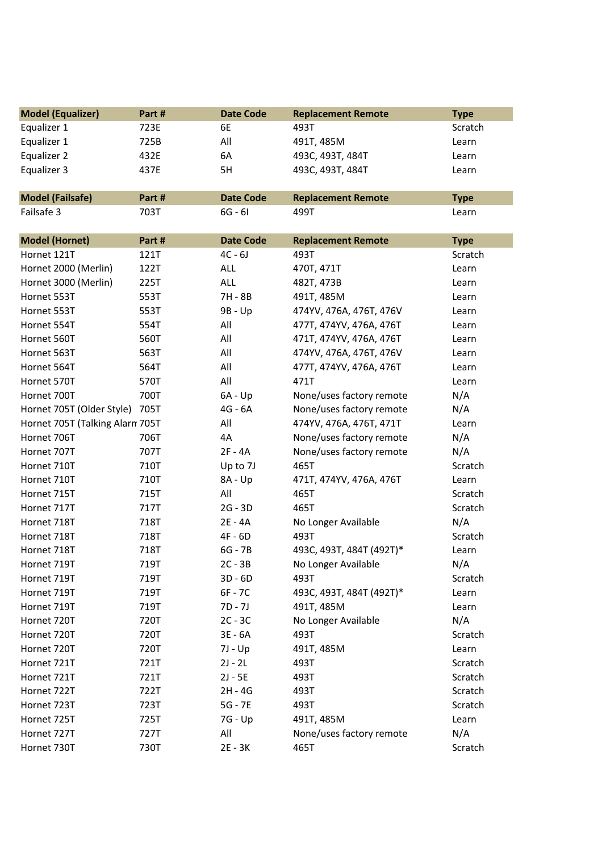| <b>Model (Equalizer)</b> | Part # | Date Code | <b>Replacement Remote</b> | <b>Type</b> |
|--------------------------|--------|-----------|---------------------------|-------------|
| Equalizer 1              | 723E   | 6E        | 493T                      | Scratch     |
| Equalizer 1              | 725B   | All       | 491T, 485M                | Learn       |
| Equalizer 2              | 432E   | 6A        | 493C, 493T, 484T          | Learn       |
| Equalizer 3              | 437E   | 5H        | 493C, 493T, 484T          | Learn       |

| <b>Model (Failsafe)</b> | Part # | Date Code | <b>Replacement Remote</b> | <b>Type</b> |
|-------------------------|--------|-----------|---------------------------|-------------|
| Failsafe 3              | 703T   | 6G - 6L   | 499T                      | Learn       |

| <b>Model (Hornet)</b>           | Part#       | <b>Date Code</b> | <b>Replacement Remote</b> | <b>Type</b> |
|---------------------------------|-------------|------------------|---------------------------|-------------|
| Hornet 121T                     | 121T        | $4C - 6J$        | 493T                      | Scratch     |
| Hornet 2000 (Merlin)            | 122T        | ALL              | 470T, 471T                | Learn       |
| Hornet 3000 (Merlin)            | 225T        | ALL              | 482T, 473B                | Learn       |
| Hornet 553T                     | 553T        | 7H - 8B          | 491T, 485M                | Learn       |
| Hornet 553T                     | 553T        | 9B - Up          | 474YV, 476A, 476T, 476V   | Learn       |
| Hornet 554T                     | 554T        | All              | 477T, 474YV, 476A, 476T   | Learn       |
| Hornet 560T                     | 560T        | All              | 471T, 474YV, 476A, 476T   | Learn       |
| Hornet 563T                     | 563T        | All              | 474YV, 476A, 476T, 476V   | Learn       |
| Hornet 564T                     | 564T        | All              | 477T, 474YV, 476A, 476T   | Learn       |
| Hornet 570T                     | 570T        | All              | 471T                      | Learn       |
| Hornet 700T                     | 700T        | $6A - Up$        | None/uses factory remote  | N/A         |
| Hornet 705T (Older Style) 705T  |             | 4G - 6A          | None/uses factory remote  | N/A         |
| Hornet 705T (Talking Alarn 705T |             | All              | 474YV, 476A, 476T, 471T   | Learn       |
| Hornet 706T                     | 706T        | 4A               | None/uses factory remote  | N/A         |
| Hornet 707T                     | 707T        | 2F - 4A          | None/uses factory remote  | N/A         |
| Hornet 710T                     | 710T        | Up to 7J         | 465T                      | Scratch     |
| Hornet 710T                     | 710T        | 8A - Up          | 471T, 474YV, 476A, 476T   | Learn       |
| Hornet 715T                     | 715T        | All              | 465T                      | Scratch     |
| Hornet 717T                     | 717T        | $2G - 3D$        | 465T                      | Scratch     |
| Hornet 718T                     | 718T        | 2E - 4A          | No Longer Available       | N/A         |
| Hornet 718T                     | 718T        | 4F - 6D          | 493T                      | Scratch     |
| Hornet 718T                     | 718T        | $6G - 7B$        | 493C, 493T, 484T (492T)*  | Learn       |
| Hornet 719T                     | 719T        | $2C - 3B$        | No Longer Available       | N/A         |
| Hornet 719T                     | 719T        | $3D - 6D$        | 493T                      | Scratch     |
| Hornet 719T                     | 719T        | 6F - 7C          | 493C, 493T, 484T (492T)*  | Learn       |
| Hornet 719T                     | 719T        | $7D - 7J$        | 491T, 485M                | Learn       |
| Hornet 720T                     | 720T        | $2C - 3C$        | No Longer Available       | N/A         |
| Hornet 720T                     | 720T        | 3E - 6A          | 493T                      | Scratch     |
| Hornet 720T                     | 720T        | 7J - Up          | 491T, 485M                | Learn       |
| Hornet 721T                     | 721T        | $2J - 2L$        | 493T                      | Scratch     |
| Hornet 721T                     | 721T        | $2J - 5E$        | 493T                      | Scratch     |
| Hornet 722T                     | 722T        | 2H - 4G          | 493T                      | Scratch     |
| Hornet 723T                     | 723T        | $5G - 7E$        | 493T                      | Scratch     |
| Hornet 725T                     | 725T        | 7G - Up          | 491T, 485M                | Learn       |
| Hornet 727T                     | <b>727T</b> | All              | None/uses factory remote  | N/A         |
| Hornet 730T                     | 730T        | 2E - 3K          | 465T                      | Scratch     |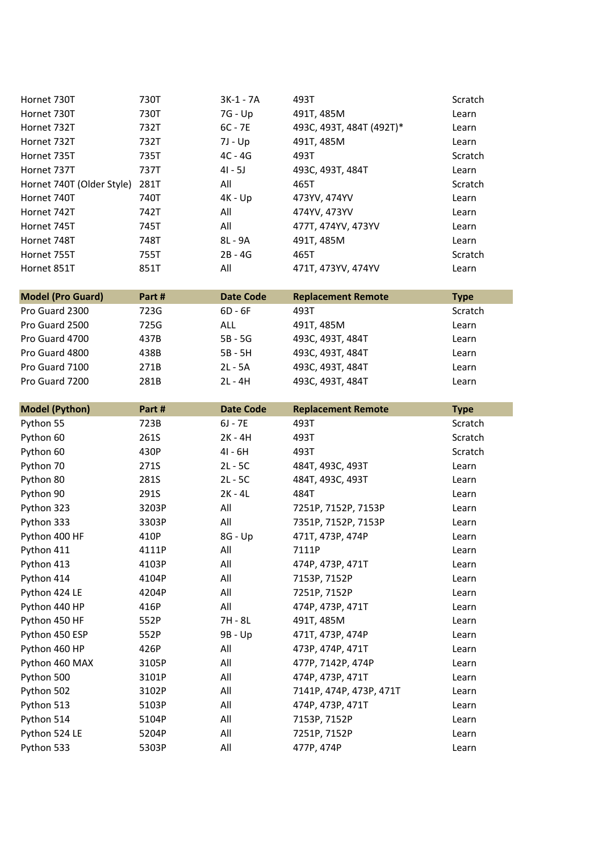| Hornet 730T               | 730T | $3K-1 - 7A$ | 493T                     | Scratch |
|---------------------------|------|-------------|--------------------------|---------|
| Hornet 730T               | 730T | 7G - Up     | 491T, 485M               | Learn   |
| Hornet 732T               | 732T | $6C - 7E$   | 493C, 493T, 484T (492T)* | Learn   |
| Hornet 732T               | 732T | 7J - Up     | 491T, 485M               | Learn   |
| Hornet 735T               | 735T | $4C - 4G$   | 493T                     | Scratch |
| Hornet 737T               | 737T | $4I - 5J$   | 493C, 493T, 484T         | Learn   |
| Hornet 740T (Older Style) | 281T | All         | 465T                     | Scratch |
| Hornet 740T               | 740T | $4K - Up$   | 473YV, 474YV             | Learn   |
| Hornet 742T               | 742T | All         | 474YV, 473YV             | Learn   |
| Hornet 745T               | 745T | All         | 477T, 474YV, 473YV       | Learn   |
| Hornet 748T               | 748T | 8L - 9A     | 491T, 485M               | Learn   |
| Hornet 755T               | 755T | $2B - 4G$   | 465T                     | Scratch |
| Hornet 851T               | 851T | All         | 471T, 473YV, 474YV       | Learn   |

| <b>Model (Pro Guard)</b> | Part # | <b>Date Code</b> | <b>Replacement Remote</b> | <b>Type</b> |
|--------------------------|--------|------------------|---------------------------|-------------|
| Pro Guard 2300           | 723G   | $6D - 6F$        | 493T                      | Scratch     |
| Pro Guard 2500           | 725G   | ALL.             | 491T, 485M                | Learn       |
| Pro Guard 4700           | 437B   | $5B - 5G$        | 493C, 493T, 484T          | Learn       |
| Pro Guard 4800           | 438B   | $5B - 5H$        | 493C, 493T, 484T          | Learn       |
| Pro Guard 7100           | 271B   | $2L - 5A$        | 493C, 493T, 484T          | Learn       |
| Pro Guard 7200           | 281B   | $2L - 4H$        | 493C, 493T, 484T          | Learn       |

| <b>Model (Python)</b> | Part# | <b>Date Code</b> | <b>Replacement Remote</b> | <b>Type</b> |
|-----------------------|-------|------------------|---------------------------|-------------|
| Python 55             | 723B  | $6J - 7E$        | 493T                      | Scratch     |
| Python 60             | 261S  | $2K - 4H$        | 493T                      | Scratch     |
| Python 60             | 430P  | $4I - 6H$        | 493T                      | Scratch     |
| Python 70             | 271S  | $2L - 5C$        | 484T, 493C, 493T          | Learn       |
| Python 80             | 281S  | $2L - 5C$        | 484T, 493C, 493T          | Learn       |
| Python 90             | 291S  | $2K - 4L$        | 484T                      | Learn       |
| Python 323            | 3203P | All              | 7251P, 7152P, 7153P       | Learn       |
| Python 333            | 3303P | All              | 7351P, 7152P, 7153P       | Learn       |
| Python 400 HF         | 410P  | 8G - Up          | 471T, 473P, 474P          | Learn       |
| Python 411            | 4111P | All              | 7111P                     | Learn       |
| Python 413            | 4103P | All              | 474P, 473P, 471T          | Learn       |
| Python 414            | 4104P | All              | 7153P, 7152P              | Learn       |
| Python 424 LE         | 4204P | All              | 7251P, 7152P              | Learn       |
| Python 440 HP         | 416P  | All              | 474P, 473P, 471T          | Learn       |
| Python 450 HF         | 552P  | 7H - 8L          | 491T, 485M                | Learn       |
| Python 450 ESP        | 552P  | 9B - Up          | 471T, 473P, 474P          | Learn       |
| Python 460 HP         | 426P  | All              | 473P, 474P, 471T          | Learn       |
| Python 460 MAX        | 3105P | All              | 477P, 7142P, 474P         | Learn       |
| Python 500            | 3101P | All              | 474P, 473P, 471T          | Learn       |
| Python 502            | 3102P | All              | 7141P, 474P, 473P, 471T   | Learn       |
| Python 513            | 5103P | All              | 474P, 473P, 471T          | Learn       |
| Python 514            | 5104P | All              | 7153P, 7152P              | Learn       |
| Python 524 LE         | 5204P | All              | 7251P, 7152P              | Learn       |
| Python 533            | 5303P | All              | 477P, 474P                | Learn       |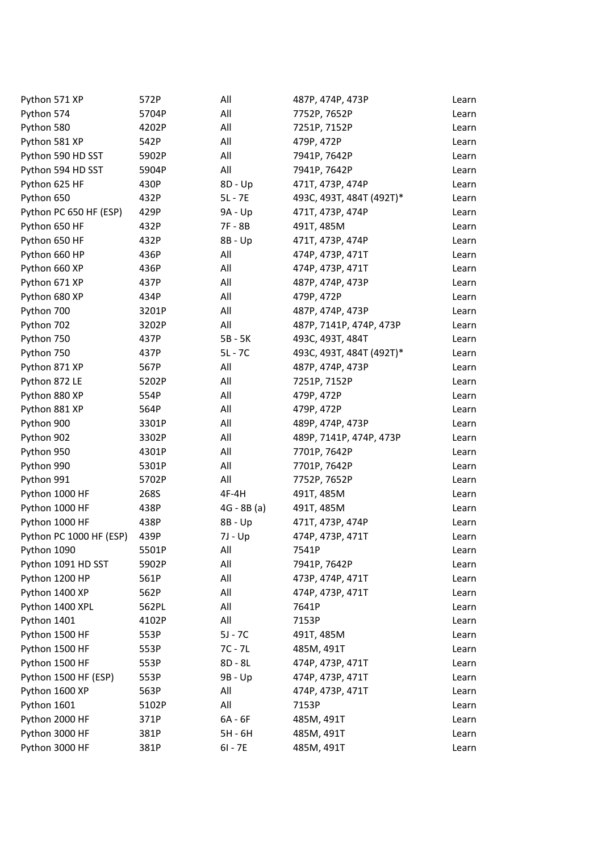| Python 571 XP           | 572P  | All          | 487P, 474P, 473P         | Learn |
|-------------------------|-------|--------------|--------------------------|-------|
| Python 574              | 5704P | All          | 7752P, 7652P             | Learn |
| Python 580              | 4202P | All          | 7251P, 7152P             | Learn |
| Python 581 XP           | 542P  | All          | 479P, 472P               | Learn |
| Python 590 HD SST       | 5902P | All          | 7941P, 7642P             | Learn |
| Python 594 HD SST       | 5904P | All          | 7941P, 7642P             | Learn |
| Python 625 HF           | 430P  | $8D - Up$    | 471T, 473P, 474P         | Learn |
| Python 650              | 432P  | 5L - 7E      | 493C, 493T, 484T (492T)* | Learn |
| Python PC 650 HF (ESP)  | 429P  | 9A - Up      | 471T, 473P, 474P         | Learn |
| Python 650 HF           | 432P  | 7F - 8B      | 491T, 485M               | Learn |
| Python 650 HF           | 432P  | $8B - Up$    | 471T, 473P, 474P         | Learn |
| Python 660 HP           | 436P  | All          | 474P, 473P, 471T         | Learn |
| Python 660 XP           | 436P  | All          | 474P, 473P, 471T         | Learn |
| Python 671 XP           | 437P  | All          | 487P, 474P, 473P         | Learn |
| Python 680 XP           | 434P  | All          | 479P, 472P               | Learn |
| Python 700              | 3201P | All          | 487P, 474P, 473P         | Learn |
| Python 702              | 3202P | All          | 487P, 7141P, 474P, 473P  | Learn |
| Python 750              | 437P  | 5B - 5K      | 493C, 493T, 484T         | Learn |
| Python 750              | 437P  | $5L - 7C$    | 493C, 493T, 484T (492T)* | Learn |
| Python 871 XP           | 567P  | All          | 487P, 474P, 473P         | Learn |
| Python 872 LE           | 5202P | All          | 7251P, 7152P             | Learn |
| Python 880 XP           | 554P  | All          | 479P, 472P               | Learn |
| Python 881 XP           | 564P  | All          | 479P, 472P               | Learn |
| Python 900              | 3301P | All          | 489P, 474P, 473P         | Learn |
| Python 902              | 3302P | All          | 489P, 7141P, 474P, 473P  | Learn |
| Python 950              | 4301P | All          | 7701P, 7642P             | Learn |
| Python 990              | 5301P | All          | 7701P, 7642P             | Learn |
| Python 991              | 5702P | All          | 7752P, 7652P             | Learn |
| Python 1000 HF          | 268S  | 4F-4H        | 491T, 485M               | Learn |
| Python 1000 HF          | 438P  | $4G - 8B(a)$ | 491T, 485M               | Learn |
| Python 1000 HF          | 438P  | 8B - Up      | 471T, 473P, 474P         | Learn |
| Python PC 1000 HF (ESP) | 439P  | 7J - Up      | 474P, 473P, 471T         | Learn |
| Python 1090             | 5501P | All          | 7541P                    | Learn |
| Python 1091 HD SST      | 5902P | All          | 7941P, 7642P             | Learn |
| Python 1200 HP          | 561P  | All          | 473P, 474P, 471T         | Learn |
| Python 1400 XP          | 562P  | All          | 474P, 473P, 471T         | Learn |
| Python 1400 XPL         | 562PL | All          | 7641P                    | Learn |
| Python 1401             | 4102P | All          | 7153P                    | Learn |
| Python 1500 HF          | 553P  | $5J - 7C$    | 491T, 485M               | Learn |
| Python 1500 HF          | 553P  | 7C - 7L      | 485M, 491T               | Learn |
| Python 1500 HF          | 553P  | 8D - 8L      | 474P, 473P, 471T         | Learn |
| Python 1500 HF (ESP)    | 553P  | 9B - Up      | 474P, 473P, 471T         | Learn |
| Python 1600 XP          | 563P  | All          | 474P, 473P, 471T         | Learn |
| Python 1601             | 5102P | All          | 7153P                    | Learn |
| Python 2000 HF          | 371P  | 6A - 6F      | 485M, 491T               | Learn |
| Python 3000 HF          | 381P  | 5H - 6H      | 485M, 491T               | Learn |
| Python 3000 HF          | 381P  | 61 - 7E      | 485M, 491T               | Learn |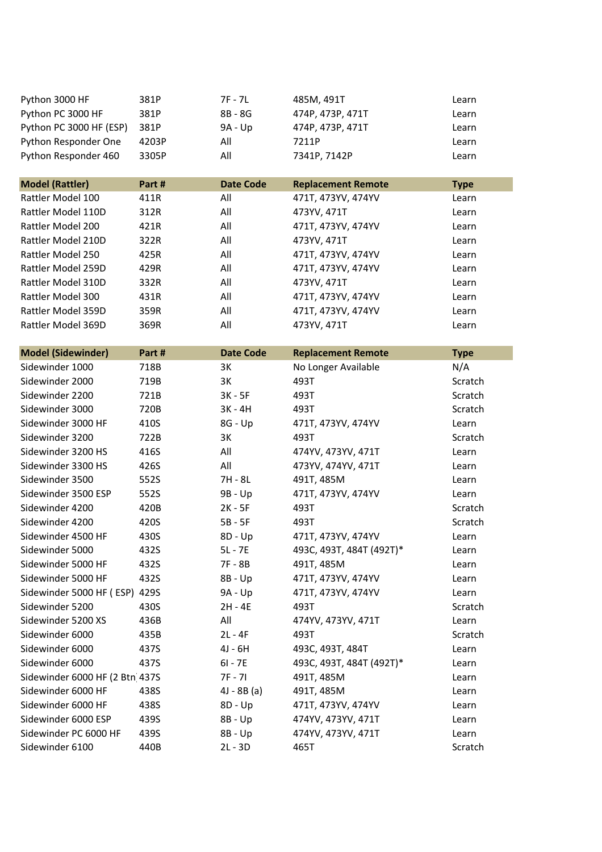| Python 3000 HF          | 381P  | 7F - 7I | 485M, 491T     | Learn |
|-------------------------|-------|---------|----------------|-------|
| Python PC 3000 HF       | 381P  | 8B - 8G | 474P.473P.471T | Learn |
| Python PC 3000 HF (ESP) | 381P  | 9A - Up | 474P.473P.471T | Learn |
| Python Responder One    | 4203P | All     | 7211P          | Learn |
| Python Responder 460    | 3305P | All     | 7341P.7142P    | Learn |

| <b>Model (Rattler)</b> | Part # | <b>Date Code</b> | <b>Replacement Remote</b> | <b>Type</b> |
|------------------------|--------|------------------|---------------------------|-------------|
| Rattler Model 100      | 411R   | All              | 471T, 473YV, 474YV        | Learn       |
| Rattler Model 110D     | 312R   | All              | 473YV, 471T               | Learn       |
| Rattler Model 200      | 421R   | All              | 471T, 473YV, 474YV        | Learn       |
| Rattler Model 210D     | 322R   | All              | 473YV, 471T               | Learn       |
| Rattler Model 250      | 425R   | All              | 471T, 473YV, 474YV        | Learn       |
| Rattler Model 259D     | 429R   | All              | 471T, 473YV, 474YV        | Learn       |
| Rattler Model 310D     | 332R   | All              | 473YV, 471T               | Learn       |
| Rattler Model 300      | 431R   | All              | 471T, 473YV, 474YV        | Learn       |
| Rattler Model 359D     | 359R   | All              | 471T, 473YV, 474YV        | Learn       |
| Rattler Model 369D     | 369R   | All              | 473YV, 471T               | Learn       |

| <b>Model (Sidewinder)</b>      | Part# | <b>Date Code</b> | <b>Replacement Remote</b> | <b>Type</b> |
|--------------------------------|-------|------------------|---------------------------|-------------|
| Sidewinder 1000                | 718B  | 3K               | No Longer Available       | N/A         |
| Sidewinder 2000                | 719B  | 3K               | 493T                      | Scratch     |
| Sidewinder 2200                | 721B  | $3K - 5F$        | 493T                      | Scratch     |
| Sidewinder 3000                | 720B  | 3K - 4H          | 493T                      | Scratch     |
| Sidewinder 3000 HF             | 410S  | $8G - Up$        | 471T, 473YV, 474YV        | Learn       |
| Sidewinder 3200                | 722B  | 3K               | 493T                      | Scratch     |
| Sidewinder 3200 HS             | 416S  | All              | 474YV, 473YV, 471T        | Learn       |
| Sidewinder 3300 HS             | 426S  | All              | 473YV, 474YV, 471T        | Learn       |
| Sidewinder 3500                | 552S  | 7H - 8L          | 491T, 485M                | Learn       |
| Sidewinder 3500 ESP            | 552S  | 9B - Up          | 471T, 473YV, 474YV        | Learn       |
| Sidewinder 4200                | 420B  | $2K - 5F$        | 493T                      | Scratch     |
| Sidewinder 4200                | 420S  | $5B - 5F$        | 493T                      | Scratch     |
| Sidewinder 4500 HF             | 430S  | $8D - Up$        | 471T, 473YV, 474YV        | Learn       |
| Sidewinder 5000                | 432S  | $5L - 7E$        | 493C, 493T, 484T (492T)*  | Learn       |
| Sidewinder 5000 HF             | 432S  | 7F - 8B          | 491T, 485M                | Learn       |
| Sidewinder 5000 HF             | 432S  | $8B - Up$        | 471T, 473YV, 474YV        | Learn       |
| Sidewinder 5000 HF (ESP) 429S  |       | 9A - Up          | 471T, 473YV, 474YV        | Learn       |
| Sidewinder 5200                | 430S  | 2H - 4E          | 493T                      | Scratch     |
| Sidewinder 5200 XS             | 436B  | All              | 474YV, 473YV, 471T        | Learn       |
| Sidewinder 6000                | 435B  | $2L - 4F$        | 493T                      | Scratch     |
| Sidewinder 6000                | 437S  | 4J - 6H          | 493C, 493T, 484T          | Learn       |
| Sidewinder 6000                | 437S  | $6I - 7E$        | 493C, 493T, 484T (492T)*  | Learn       |
| Sidewinder 6000 HF (2 Btn 437S |       | $7F - 7I$        | 491T, 485M                | Learn       |
| Sidewinder 6000 HF             | 438S  | $4J - 8B(a)$     | 491T, 485M                | Learn       |
| Sidewinder 6000 HF             | 438S  | $8D - Up$        | 471T, 473YV, 474YV        | Learn       |
| Sidewinder 6000 ESP            | 439S  | $8B - Up$        | 474YV, 473YV, 471T        | Learn       |
| Sidewinder PC 6000 HF          | 439S  | $8B - Up$        | 474YV, 473YV, 471T        | Learn       |
| Sidewinder 6100                | 440B  | $2L - 3D$        | 465T                      | Scratch     |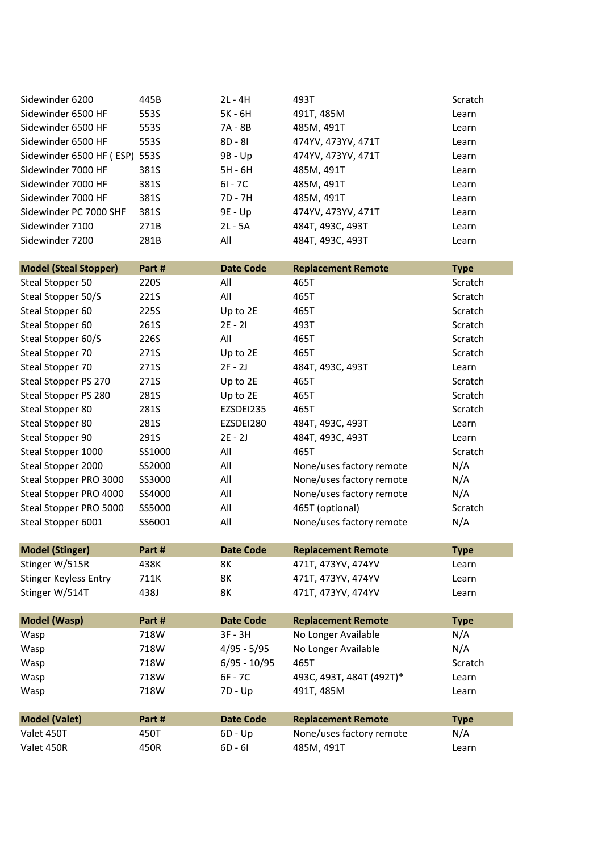| Sidewinder 6200               | 445B | $2L - 4H$ | 493T               | Scratch |
|-------------------------------|------|-----------|--------------------|---------|
| Sidewinder 6500 HF            | 553S | 5K - 6H   | 491T, 485M         | Learn   |
| Sidewinder 6500 HF            | 553S | 7A - 8B   | 485M, 491T         | Learn   |
| Sidewinder 6500 HF            | 553S | $8D - 8I$ | 474YV, 473YV, 471T | Learn   |
| Sidewinder 6500 HF (ESP) 553S |      | 9B - Up   | 474YV, 473YV, 471T | Learn   |
| Sidewinder 7000 HF            | 381S | 5H - 6H   | 485M, 491T         | Learn   |
| Sidewinder 7000 HF            | 381S | $61 - 7C$ | 485M, 491T         | Learn   |
| Sidewinder 7000 HF            | 381S | 7D - 7H   | 485M, 491T         | Learn   |
| Sidewinder PC 7000 SHF        | 381S | 9E - Up   | 474YV, 473YV, 471T | Learn   |
| Sidewinder 7100               | 271B | $2L - 5A$ | 484T, 493C, 493T   | Learn   |
| Sidewinder 7200               | 281B | All       | 484T, 493C, 493T   | Learn   |

| <b>Model (Steal Stopper)</b> | Part # | <b>Date Code</b> | <b>Replacement Remote</b> | <b>Type</b> |
|------------------------------|--------|------------------|---------------------------|-------------|
| Steal Stopper 50             | 220S   | All              | 465T                      | Scratch     |
| Steal Stopper 50/S           | 221S   | All              | 465T                      | Scratch     |
| Steal Stopper 60             | 225S   | Up to 2E         | 465T                      | Scratch     |
| Steal Stopper 60             | 261S   | $2E - 2I$        | 493T                      | Scratch     |
| Steal Stopper 60/S           | 226S   | All              | 465T                      | Scratch     |
| Steal Stopper 70             | 271S   | Up to 2E         | 465T                      | Scratch     |
| Steal Stopper 70             | 271S   | $2F - 2J$        | 484T, 493C, 493T          | Learn       |
| Steal Stopper PS 270         | 271S   | Up to 2E         | 465T                      | Scratch     |
| Steal Stopper PS 280         | 281S   | Up to 2E         | 465T                      | Scratch     |
| Steal Stopper 80             | 281S   | EZSDEI235        | 465T                      | Scratch     |
| Steal Stopper 80             | 281S   | EZSDEI280        | 484T, 493C, 493T          | Learn       |
| Steal Stopper 90             | 291S   | $2E - 2J$        | 484T, 493C, 493T          | Learn       |
| Steal Stopper 1000           | SS1000 | All              | 465T                      | Scratch     |
| Steal Stopper 2000           | SS2000 | All              | None/uses factory remote  | N/A         |
| Steal Stopper PRO 3000       | SS3000 | All              | None/uses factory remote  | N/A         |
| Steal Stopper PRO 4000       | SS4000 | All              | None/uses factory remote  | N/A         |
| Steal Stopper PRO 5000       | SS5000 | All              | 465T (optional)           | Scratch     |
| Steal Stopper 6001           | SS6001 | All              | None/uses factory remote  | N/A         |

| <b>Model (Stinger)</b> | Part # | Date Code | <b>Replacement Remote</b> | <b>Type</b> |
|------------------------|--------|-----------|---------------------------|-------------|
| Stinger W/515R         | 438K   | 8К        | 471T. 473YV. 474YV        | Learn       |
| Stinger Keyless Entry  | 711K   | 8К        | 471T. 473YV. 474YV        | Learn       |
| Stinger W/514T         | 438J   | 8Κ        | 471T. 473YV. 474YV        | Learn       |

| <b>Model (Wasp)</b>  | Part # | <b>Date Code</b> | <b>Replacement Remote</b> | <b>Type</b>    |
|----------------------|--------|------------------|---------------------------|----------------|
| Wasp                 | 718W   | $3F - 3H$        | No Longer Available       | N/A            |
| Wasp                 | 718W   | $4/95 - 5/95$    | No Longer Available       | N/A            |
| Wasp                 | 718W   | $6/95 - 10/95$   | 465T                      | <b>Scratch</b> |
| Wasp                 | 718W   | $6F - 7C$        | 493C, 493T, 484T (492T)*  | Learn          |
| Wasp                 | 718W   | 7D - Up          | 491T, 485M                | Learn          |
|                      |        |                  |                           |                |
| <b>Model (Valet)</b> | Part # | <b>Date Code</b> | <b>Replacement Remote</b> | <b>Type</b>    |
| Valet 450T           | 450T   | $6D - Up$        | None/uses factory remote  | N/A            |
| Valet 450R           | 450R   | $6D - 6I$        | 485M, 491T                | Learn          |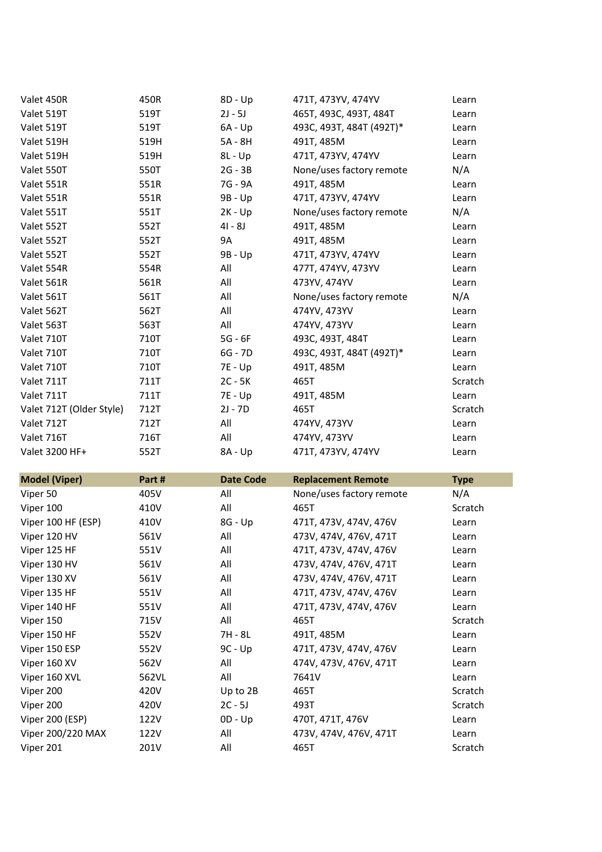| Valet 450R               | 450R | $8D - Up$ | 471T, 473YV, 474YV       | Learn   |
|--------------------------|------|-----------|--------------------------|---------|
| Valet 519T               | 519T | $2J - 5J$ | 465T, 493C, 493T, 484T   | Learn   |
| Valet 519T               | 519T | $6A - Up$ | 493C, 493T, 484T (492T)* | Learn   |
| Valet 519H               | 519H | 5A - 8H   | 491T, 485M               | Learn   |
| Valet 519H               | 519H | $8L - Up$ | 471T, 473YV, 474YV       | Learn   |
| Valet 550T               | 550T | $2G - 3B$ | None/uses factory remote | N/A     |
| Valet 551R               | 551R | 7G - 9A   | 491T, 485M               | Learn   |
| Valet 551R               | 551R | 9B - Up   | 471T, 473YV, 474YV       | Learn   |
| Valet 551T               | 551T | $2K - Up$ | None/uses factory remote | N/A     |
| Valet 552T               | 552T | $4I - 8J$ | 491T, 485M               | Learn   |
| Valet 552T               | 552T | <b>9A</b> | 491T, 485M               | Learn   |
| Valet 552T               | 552T | $9B - Up$ | 471T, 473YV, 474YV       | Learn   |
| Valet 554R               | 554R | All       | 477T, 474YV, 473YV       | Learn   |
| Valet 561R               | 561R | All       | 473YV, 474YV             | Learn   |
| Valet 561T               | 561T | All       | None/uses factory remote | N/A     |
| Valet 562T               | 562T | All       | 474YV, 473YV             | Learn   |
| Valet 563T               | 563T | All       | 474YV, 473YV             | Learn   |
| Valet 710T               | 710T | $5G - 6F$ | 493C, 493T, 484T         | Learn   |
| Valet 710T               | 710T | 6G - 7D   | 493C, 493T, 484T (492T)* | Learn   |
| Valet 710T               | 710T | 7E - Up   | 491T, 485M               | Learn   |
| Valet 711T               | 711T | $2C - 5K$ | 465T                     | Scratch |
| Valet 711T               | 711T | 7E - Up   | 491T, 485M               | Learn   |
| Valet 712T (Older Style) | 712T | $2J - 7D$ | 465T                     | Scratch |
| Valet 712T               | 712T | All       | 474YV, 473YV             | Learn   |
| Valet 716T               | 716T | All       | 474YV, 473YV             | Learn   |
| Valet 3200 HF+           | 552T | $8A - Up$ | 471T, 473YV, 474YV       | Learn   |

| <b>Model (Viper)</b> | Part# | <b>Date Code</b> | <b>Replacement Remote</b> | <b>Type</b> |
|----------------------|-------|------------------|---------------------------|-------------|
| Viper 50             | 405V  | All              | None/uses factory remote  | N/A         |
| Viper 100            | 410V  | All              | 465T                      | Scratch     |
| Viper 100 HF (ESP)   | 410V  | 8G - Up          | 471T, 473V, 474V, 476V    | Learn       |
| Viper 120 HV         | 561V  | All              | 473V, 474V, 476V, 471T    | Learn       |
| Viper 125 HF         | 551V  | All              | 471T, 473V, 474V, 476V    | Learn       |
| Viper 130 HV         | 561V  | All              | 473V, 474V, 476V, 471T    | Learn       |
| Viper 130 XV         | 561V  | All              | 473V, 474V, 476V, 471T    | Learn       |
| Viper 135 HF         | 551V  | All              | 471T, 473V, 474V, 476V    | Learn       |
| Viper 140 HF         | 551V  | All              | 471T, 473V, 474V, 476V    | Learn       |
| Viper 150            | 715V  | All              | 465T                      | Scratch     |
| Viper 150 HF         | 552V  | 7H - 8L          | 491T, 485M                | Learn       |
| Viper 150 ESP        | 552V  | $9C - Up$        | 471T, 473V, 474V, 476V    | Learn       |
| Viper 160 XV         | 562V  | All              | 474V, 473V, 476V, 471T    | Learn       |
| Viper 160 XVL        | 562VL | All              | 7641V                     | Learn       |
| Viper 200            | 420V  | Up to 2B         | 465T                      | Scratch     |
| Viper 200            | 420V  | $2C - 5J$        | 493T                      | Scratch     |
| Viper 200 (ESP)      | 122V  | $OD - Up$        | 470T, 471T, 476V          | Learn       |
| Viper 200/220 MAX    | 122V  | All              | 473V, 474V, 476V, 471T    | Learn       |
| Viper 201            | 201V  | All              | 465T                      | Scratch     |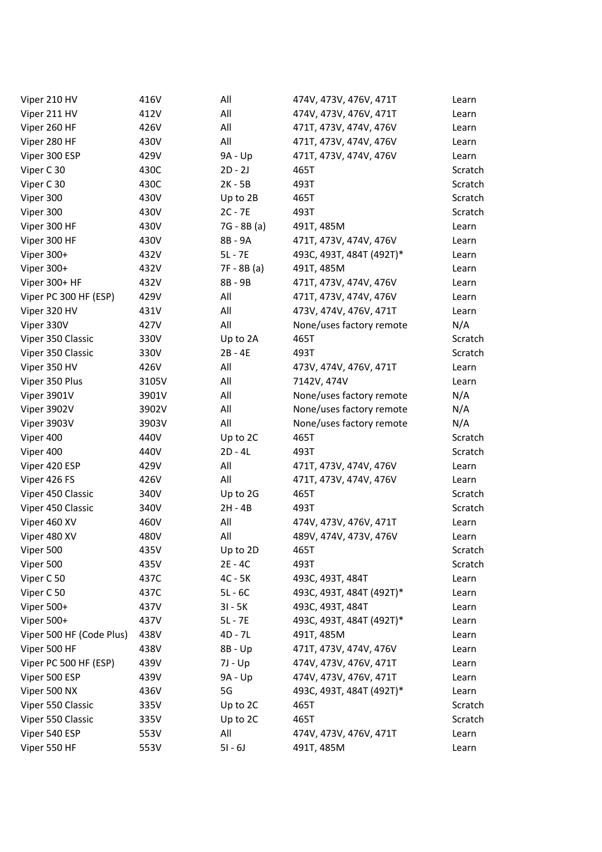| Viper 210 HV             | 416V  | All         | 474V, 473V, 476V, 471T   | Learn   |
|--------------------------|-------|-------------|--------------------------|---------|
| Viper 211 HV             | 412V  | All         | 474V, 473V, 476V, 471T   | Learn   |
| Viper 260 HF             | 426V  | All         | 471T, 473V, 474V, 476V   | Learn   |
| Viper 280 HF             | 430V  | All         | 471T, 473V, 474V, 476V   | Learn   |
| Viper 300 ESP            | 429V  | 9A - Up     | 471T, 473V, 474V, 476V   | Learn   |
| Viper C 30               | 430C  | $2D - 2J$   | 465T                     | Scratch |
| Viper C 30               | 430C  | $2K - 5B$   | 493T                     | Scratch |
| Viper 300                | 430V  | Up to 2B    | 465T                     | Scratch |
| Viper 300                | 430V  | $2C - 7E$   | 493T                     | Scratch |
| Viper 300 HF             | 430V  | 7G - 8B (a) | 491T, 485M               | Learn   |
| Viper 300 HF             | 430V  | 8B - 9A     | 471T, 473V, 474V, 476V   | Learn   |
| Viper 300+               | 432V  | $5L - 7E$   | 493C, 493T, 484T (492T)* | Learn   |
| Viper 300+               | 432V  | 7F - 8B (a) | 491T, 485M               | Learn   |
| Viper 300+ HF            | 432V  | 8B - 9B     | 471T, 473V, 474V, 476V   | Learn   |
| Viper PC 300 HF (ESP)    | 429V  | All         | 471T, 473V, 474V, 476V   | Learn   |
| Viper 320 HV             | 431V  | All         | 473V, 474V, 476V, 471T   | Learn   |
| Viper 330V               | 427V  | All         | None/uses factory remote | N/A     |
| Viper 350 Classic        | 330V  | Up to 2A    | 465T                     | Scratch |
| Viper 350 Classic        | 330V  | 2B - 4E     | 493T                     | Scratch |
| Viper 350 HV             | 426V  | All         | 473V, 474V, 476V, 471T   | Learn   |
| Viper 350 Plus           | 3105V | All         | 7142V, 474V              | Learn   |
| Viper 3901V              | 3901V | All         | None/uses factory remote | N/A     |
| Viper 3902V              | 3902V | All         | None/uses factory remote | N/A     |
| Viper 3903V              | 3903V | All         | None/uses factory remote | N/A     |
| Viper 400                | 440V  | Up to 2C    | 465T                     | Scratch |
| Viper 400                | 440V  | $2D - 4L$   | 493T                     | Scratch |
| Viper 420 ESP            | 429V  | All         | 471T, 473V, 474V, 476V   | Learn   |
| Viper 426 FS             | 426V  | All         | 471T, 473V, 474V, 476V   | Learn   |
| Viper 450 Classic        | 340V  | Up to 2G    | 465T                     | Scratch |
| Viper 450 Classic        | 340V  | 2H - 4B     | 493T                     | Scratch |
| Viper 460 XV             | 460V  | All         | 474V, 473V, 476V, 471T   | Learn   |
| Viper 480 XV             | 480V  | All         | 489V, 474V, 473V, 476V   | Learn   |
| Viper 500                | 435V  | Up to 2D    | 465T                     | Scratch |
| Viper 500                | 435V  | 2E - 4C     | 493T                     | Scratch |
| Viper C 50               | 437C  | $4C - 5K$   | 493C, 493T, 484T         | Learn   |
| Viper C 50               | 437C  | $5L - 6C$   | 493C, 493T, 484T (492T)* | Learn   |
| Viper 500+               | 437V  | $3I - 5K$   | 493C, 493T, 484T         | Learn   |
| Viper 500+               | 437V  | 5L - 7E     | 493C, 493T, 484T (492T)* | Learn   |
| Viper 500 HF (Code Plus) | 438V  | 4D - 7L     | 491T, 485M               | Learn   |
| Viper 500 HF             | 438V  | $8B - Up$   | 471T, 473V, 474V, 476V   | Learn   |
| Viper PC 500 HF (ESP)    | 439V  | 7J - Up     | 474V, 473V, 476V, 471T   | Learn   |
| Viper 500 ESP            | 439V  | 9A - Up     | 474V, 473V, 476V, 471T   | Learn   |
| Viper 500 NX             | 436V  | 5G          | 493C, 493T, 484T (492T)* | Learn   |
| Viper 550 Classic        | 335V  | Up to 2C    | 465T                     | Scratch |
| Viper 550 Classic        | 335V  | Up to 2C    | 465T                     | Scratch |
| Viper 540 ESP            | 553V  | All         | 474V, 473V, 476V, 471T   | Learn   |
| Viper 550 HF             | 553V  | $51 - 6J$   | 491T, 485M               | Learn   |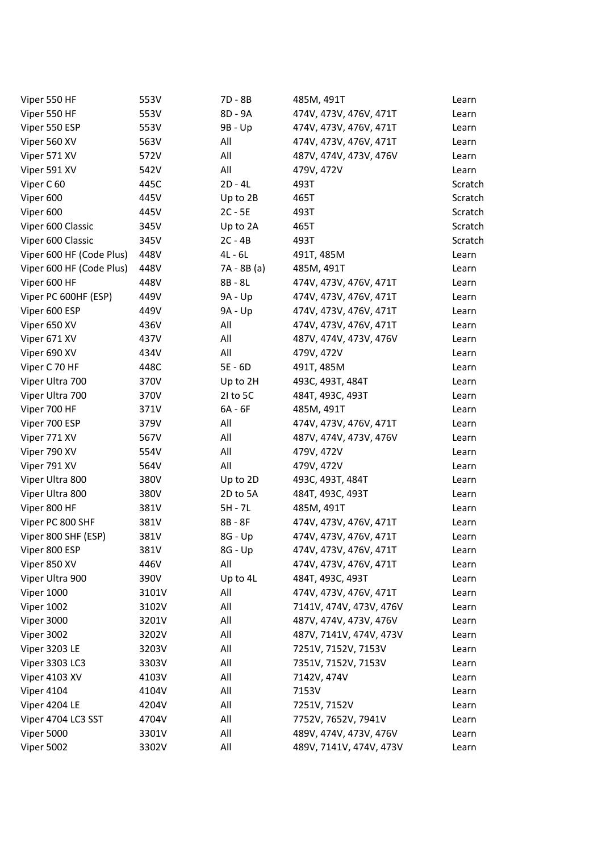| Viper 550 HF             | 553V  | 7D - 8B     | 485M, 491T              | Learn   |
|--------------------------|-------|-------------|-------------------------|---------|
| Viper 550 HF             | 553V  | 8D - 9A     | 474V, 473V, 476V, 471T  | Learn   |
| Viper 550 ESP            | 553V  | 9B - Up     | 474V, 473V, 476V, 471T  | Learn   |
| Viper 560 XV             | 563V  | All         | 474V, 473V, 476V, 471T  | Learn   |
| Viper 571 XV             | 572V  | All         | 487V, 474V, 473V, 476V  | Learn   |
| Viper 591 XV             | 542V  | All         | 479V, 472V              | Learn   |
| Viper C 60               | 445C  | $2D - 4L$   | 493T                    | Scratch |
| Viper 600                | 445V  | Up to 2B    | 465T                    | Scratch |
| Viper 600                | 445V  | $2C - 5E$   | 493T                    | Scratch |
| Viper 600 Classic        | 345V  | Up to 2A    | 465T                    | Scratch |
| Viper 600 Classic        | 345V  | $2C - 4B$   | 493T                    | Scratch |
| Viper 600 HF (Code Plus) | 448V  | $4L - 6L$   | 491T, 485M              | Learn   |
| Viper 600 HF (Code Plus) | 448V  | 7A - 8B (a) | 485M, 491T              | Learn   |
| Viper 600 HF             | 448V  | 8B - 8L     | 474V, 473V, 476V, 471T  | Learn   |
| Viper PC 600HF (ESP)     | 449V  | 9A - Up     | 474V, 473V, 476V, 471T  | Learn   |
| Viper 600 ESP            | 449V  | 9A - Up     | 474V, 473V, 476V, 471T  | Learn   |
| Viper 650 XV             | 436V  | All         | 474V, 473V, 476V, 471T  | Learn   |
| Viper 671 XV             | 437V  | All         | 487V, 474V, 473V, 476V  | Learn   |
| Viper 690 XV             | 434V  | All         | 479V, 472V              | Learn   |
| Viper C 70 HF            | 448C  | 5E - 6D     | 491T, 485M              | Learn   |
| Viper Ultra 700          | 370V  | Up to 2H    | 493C, 493T, 484T        | Learn   |
| Viper Ultra 700          | 370V  | 21 to 5C    | 484T, 493C, 493T        | Learn   |
| Viper 700 HF             | 371V  | $6A - 6F$   | 485M, 491T              | Learn   |
| Viper 700 ESP            | 379V  | All         | 474V, 473V, 476V, 471T  | Learn   |
| Viper 771 XV             | 567V  | All         | 487V, 474V, 473V, 476V  | Learn   |
| Viper 790 XV             | 554V  | All         | 479V, 472V              | Learn   |
| Viper 791 XV             | 564V  | All         | 479V, 472V              | Learn   |
| Viper Ultra 800          | 380V  | Up to 2D    | 493C, 493T, 484T        | Learn   |
| Viper Ultra 800          | 380V  | 2D to 5A    | 484T, 493C, 493T        | Learn   |
| Viper 800 HF             | 381V  | 5H - 7L     | 485M, 491T              | Learn   |
| Viper PC 800 SHF         | 381V  | 8B - 8F     | 474V, 473V, 476V, 471T  | Learn   |
| Viper 800 SHF (ESP)      | 381V  | 8G - Up     | 474V, 473V, 476V, 471T  | Learn   |
| Viper 800 ESP            | 381V  | 8G - Up     | 474V, 473V, 476V, 471T  | Learn   |
| Viper 850 XV             | 446V  | All         | 474V, 473V, 476V, 471T  | Learn   |
| Viper Ultra 900          | 390V  | Up to 4L    | 484T, 493C, 493T        | Learn   |
| Viper 1000               | 3101V | All         | 474V, 473V, 476V, 471T  | Learn   |
| <b>Viper 1002</b>        | 3102V | All         | 7141V, 474V, 473V, 476V | Learn   |
| Viper 3000               | 3201V | All         | 487V, 474V, 473V, 476V  | Learn   |
| Viper 3002               | 3202V | All         | 487V, 7141V, 474V, 473V | Learn   |
| Viper 3203 LE            | 3203V | All         | 7251V, 7152V, 7153V     | Learn   |
| Viper 3303 LC3           | 3303V | All         | 7351V, 7152V, 7153V     | Learn   |
| Viper 4103 XV            | 4103V | All         | 7142V, 474V             | Learn   |
| Viper 4104               | 4104V | All         | 7153V                   | Learn   |
| Viper 4204 LE            | 4204V | All         | 7251V, 7152V            | Learn   |
| Viper 4704 LC3 SST       | 4704V | All         | 7752V, 7652V, 7941V     | Learn   |
| Viper 5000               | 3301V | All         | 489V, 474V, 473V, 476V  | Learn   |
| Viper 5002               | 3302V | All         | 489V, 7141V, 474V, 473V | Learn   |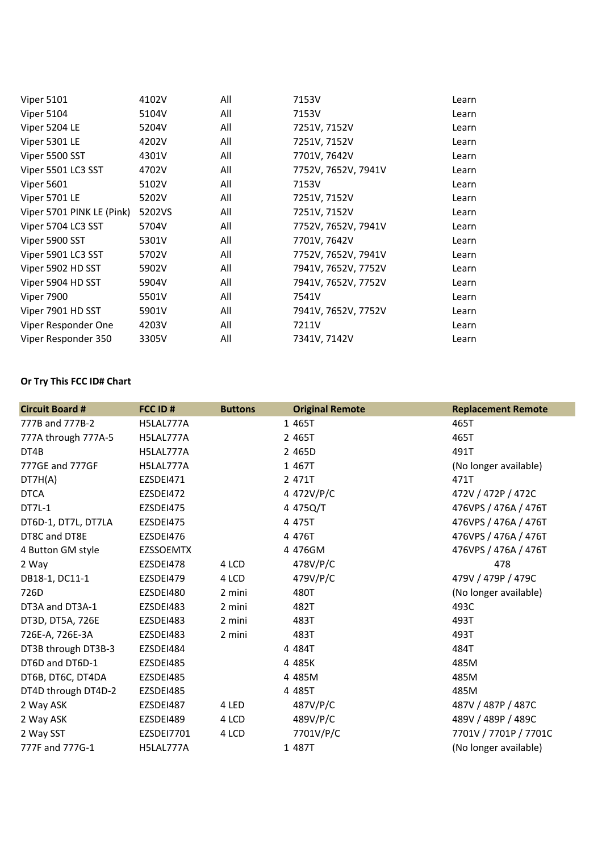| <b>Viper 5101</b>         | 4102V  | All | 7153V               | Learn |
|---------------------------|--------|-----|---------------------|-------|
| Viper 5104                | 5104V  | All | 7153V               | Learn |
| Viper 5204 LE             | 5204V  | All | 7251V, 7152V        | Learn |
| Viper 5301 LE             | 4202V  | All | 7251V, 7152V        | Learn |
| Viper 5500 SST            | 4301V  | All | 7701V, 7642V        | Learn |
| Viper 5501 LC3 SST        | 4702V  | All | 7752V, 7652V, 7941V | Learn |
| <b>Viper 5601</b>         | 5102V  | All | 7153V               | Learn |
| Viper 5701 LE             | 5202V  | All | 7251V, 7152V        | Learn |
| Viper 5701 PINK LE (Pink) | 5202VS | All | 7251V, 7152V        | Learn |
| Viper 5704 LC3 SST        | 5704V  | All | 7752V, 7652V, 7941V | Learn |
| Viper 5900 SST            | 5301V  | All | 7701V, 7642V        | Learn |
| Viper 5901 LC3 SST        | 5702V  | All | 7752V, 7652V, 7941V | Learn |
| Viper 5902 HD SST         | 5902V  | All | 7941V, 7652V, 7752V | Learn |
| Viper 5904 HD SST         | 5904V  | All | 7941V, 7652V, 7752V | Learn |
| <b>Viper 7900</b>         | 5501V  | All | 7541V               | Learn |
| Viper 7901 HD SST         | 5901V  | All | 7941V, 7652V, 7752V | Learn |
| Viper Responder One       | 4203V  | All | 7211V               | Learn |
| Viper Responder 350       | 3305V  | All | 7341V, 7142V        | Learn |
|                           |        |     |                     |       |

## **Or Try This FCC ID# Chart**

| <b>Circuit Board #</b> | FCC ID#    | <b>Buttons</b> | <b>Original Remote</b> | <b>Replacement Remote</b> |
|------------------------|------------|----------------|------------------------|---------------------------|
| 777B and 777B-2        | H5LAL777A  |                | 1 465T                 | 465T                      |
| 777A through 777A-5    | H5LAL777A  |                | 2 465T                 | 465T                      |
| DT4B                   | H5LAL777A  |                | 2 465D                 | 491T                      |
| 777GE and 777GF        | H5LAL777A  |                | 1 467T                 | (No longer available)     |
| DT7H(A)                | EZSDEI471  |                | 2 471T                 | 471T                      |
| <b>DTCA</b>            | EZSDEI472  |                | 4 472V/P/C             | 472V / 472P / 472C        |
| DT7L-1                 | EZSDEI475  |                | 4 475Q/T               | 476VPS / 476A / 476T      |
| DT6D-1, DT7L, DT7LA    | EZSDEI475  |                | 4 475T                 | 476VPS / 476A / 476T      |
| DT8C and DT8E          | EZSDEI476  |                | 4 476T                 | 476VPS / 476A / 476T      |
| 4 Button GM style      | EZSSOEMTX  |                | 4 476GM                | 476VPS / 476A / 476T      |
| 2 Way                  | EZSDEI478  | 4 LCD          | 478V/P/C               | 478                       |
| DB18-1, DC11-1         | EZSDEI479  | 4 LCD          | 479V/P/C               | 479V / 479P / 479C        |
| 726D                   | EZSDEI480  | 2 mini         | 480T                   | (No longer available)     |
| DT3A and DT3A-1        | EZSDEI483  | 2 mini         | 482T                   | 493C                      |
| DT3D, DT5A, 726E       | EZSDEI483  | 2 mini         | 483T                   | 493T                      |
| 726E-A, 726E-3A        | EZSDEI483  | 2 mini         | 483T                   | 493T                      |
| DT3B through DT3B-3    | EZSDEI484  |                | 4 484T                 | 484T                      |
| DT6D and DT6D-1        | EZSDEI485  |                | 4 485K                 | 485M                      |
| DT6B, DT6C, DT4DA      | EZSDEI485  |                | 4 485M                 | 485M                      |
| DT4D through DT4D-2    | EZSDEI485  |                | 4 485T                 | 485M                      |
| 2 Way ASK              | EZSDEI487  | 4 LED          | 487V/P/C               | 487V / 487P / 487C        |
| 2 Way ASK              | EZSDEI489  | 4 LCD          | 489V/P/C               | 489V / 489P / 489C        |
| 2 Way SST              | EZSDEI7701 | 4 LCD          | 7701V/P/C              | 7701V / 7701P / 7701C     |
| 777F and 777G-1        | H5LAL777A  |                | 1 487T                 | (No longer available)     |